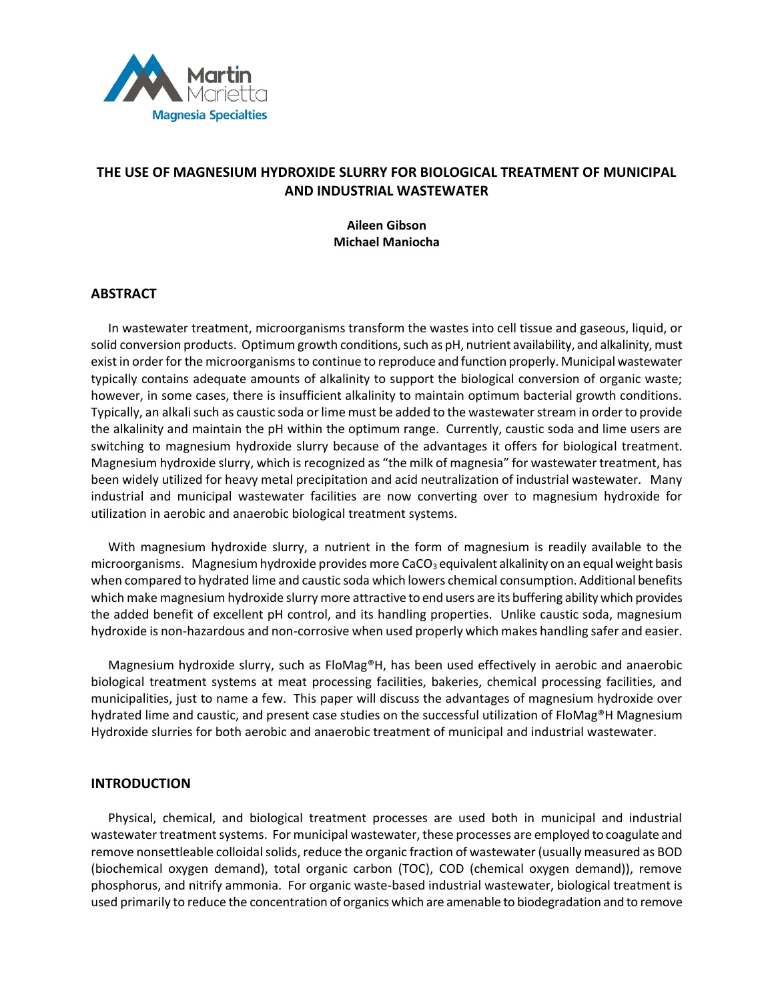

# **THE USE OF MAGNESIUM HYDROXIDE SLURRY FOR BIOLOGICAL TREATMENT OF MUNICIPAL AND INDUSTRIAL WASTEWATER**

# **Aileen Gibson Michael Maniocha**

# **ABSTRACT**

In wastewater treatment, microorganisms transform the wastes into cell tissue and gaseous, liquid, or solid conversion products. Optimum growth conditions, such as pH, nutrient availability, and alkalinity, must exist in order for the microorganisms to continue to reproduce and function properly. Municipal wastewater typically contains adequate amounts of alkalinity to support the biological conversion of organic waste; however, in some cases, there is insufficient alkalinity to maintain optimum bacterial growth conditions. Typically, an alkali such as caustic soda or lime must be added to the wastewater stream in order to provide the alkalinity and maintain the pH within the optimum range. Currently, caustic soda and lime users are switching to magnesium hydroxide slurry because of the advantages it offers for biological treatment. Magnesium hydroxide slurry, which is recognized as "the milk of magnesia" for wastewater treatment, has been widely utilized for heavy metal precipitation and acid neutralization of industrial wastewater. Many industrial and municipal wastewater facilities are now converting over to magnesium hydroxide for utilization in aerobic and anaerobic biological treatment systems.

With magnesium hydroxide slurry, a nutrient in the form of magnesium is readily available to the microorganisms. Magnesium hydroxide provides more CaCO<sub>3</sub> equivalent alkalinity on an equal weight basis when compared to hydrated lime and caustic soda which lowers chemical consumption. Additional benefits which make magnesium hydroxide slurry more attractive to end users are its buffering ability which provides the added benefit of excellent pH control, and its handling properties. Unlike caustic soda, magnesium hydroxide is non-hazardous and non-corrosive when used properly which makes handling safer and easier.

Magnesium hydroxide slurry, such as FloMag®H, has been used effectively in aerobic and anaerobic biological treatment systems at meat processing facilities, bakeries, chemical processing facilities, and municipalities, just to name a few. This paper will discuss the advantages of magnesium hydroxide over hydrated lime and caustic, and present case studies on the successful utilization of FloMag®H Magnesium Hydroxide slurries for both aerobic and anaerobic treatment of municipal and industrial wastewater.

# **INTRODUCTION**

Physical, chemical, and biological treatment processes are used both in municipal and industrial wastewater treatment systems. For municipal wastewater, these processes are employed to coagulate and remove nonsettleable colloidal solids, reduce the organic fraction of wastewater (usually measured as BOD (biochemical oxygen demand), total organic carbon (TOC), COD (chemical oxygen demand)), remove phosphorus, and nitrify ammonia. For organic waste-based industrial wastewater, biological treatment is used primarily to reduce the concentration of organics which are amenable to biodegradation and to remove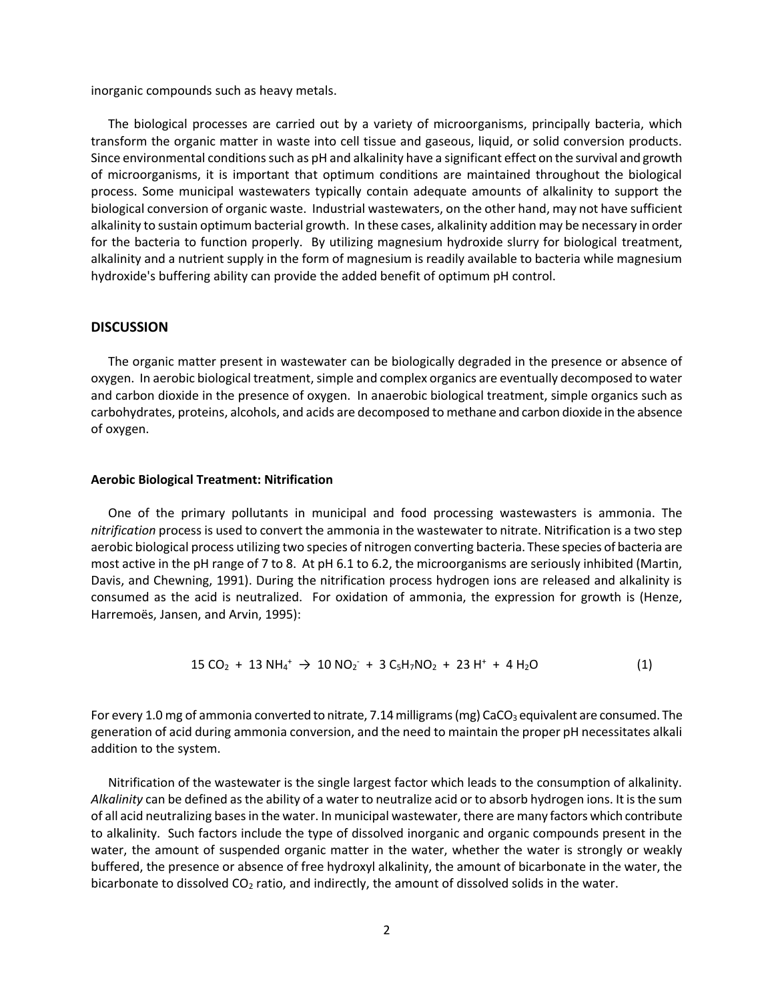inorganic compounds such as heavy metals.

The biological processes are carried out by a variety of microorganisms, principally bacteria, which transform the organic matter in waste into cell tissue and gaseous, liquid, or solid conversion products. Since environmental conditions such as pH and alkalinity have a significant effect on the survival and growth of microorganisms, it is important that optimum conditions are maintained throughout the biological process. Some municipal wastewaters typically contain adequate amounts of alkalinity to support the biological conversion of organic waste. Industrial wastewaters, on the other hand, may not have sufficient alkalinity to sustain optimum bacterial growth. In these cases, alkalinity addition may be necessary in order for the bacteria to function properly. By utilizing magnesium hydroxide slurry for biological treatment, alkalinity and a nutrient supply in the form of magnesium is readily available to bacteria while magnesium hydroxide's buffering ability can provide the added benefit of optimum pH control.

#### **DISCUSSION**

The organic matter present in wastewater can be biologically degraded in the presence or absence of oxygen. In aerobic biological treatment, simple and complex organics are eventually decomposed to water and carbon dioxide in the presence of oxygen. In anaerobic biological treatment, simple organics such as carbohydrates, proteins, alcohols, and acids are decomposed to methane and carbon dioxide in the absence of oxygen.

#### **Aerobic Biological Treatment: Nitrification**

One of the primary pollutants in municipal and food processing wastewasters is ammonia. The *nitrification* process is used to convert the ammonia in the wastewater to nitrate. Nitrification is a two step aerobic biological process utilizing two species of nitrogen converting bacteria. These species of bacteria are most active in the pH range of 7 to 8. At pH 6.1 to 6.2, the microorganisms are seriously inhibited (Martin, Davis, and Chewning, 1991). During the nitrification process hydrogen ions are released and alkalinity is consumed as the acid is neutralized. For oxidation of ammonia, the expression for growth is (Henze, Harremoës, Jansen, and Arvin, 1995):

$$
15 CO2 + 13 NH4+ \rightarrow 10 NO2 + 3 C5H7NO2 + 23 H+ + 4 H2O
$$
 (1)

For every 1.0 mg of ammonia converted to nitrate, 7.14 milligrams (mg) CaCO<sub>3</sub> equivalent are consumed. The generation of acid during ammonia conversion, and the need to maintain the proper pH necessitates alkali addition to the system.

Nitrification of the wastewater is the single largest factor which leads to the consumption of alkalinity. *Alkalinity* can be defined as the ability of a water to neutralize acid or to absorb hydrogen ions. It is the sum of all acid neutralizing bases in the water. In municipal wastewater, there are many factors which contribute to alkalinity. Such factors include the type of dissolved inorganic and organic compounds present in the water, the amount of suspended organic matter in the water, whether the water is strongly or weakly buffered, the presence or absence of free hydroxyl alkalinity, the amount of bicarbonate in the water, the bicarbonate to dissolved CO<sub>2</sub> ratio, and indirectly, the amount of dissolved solids in the water.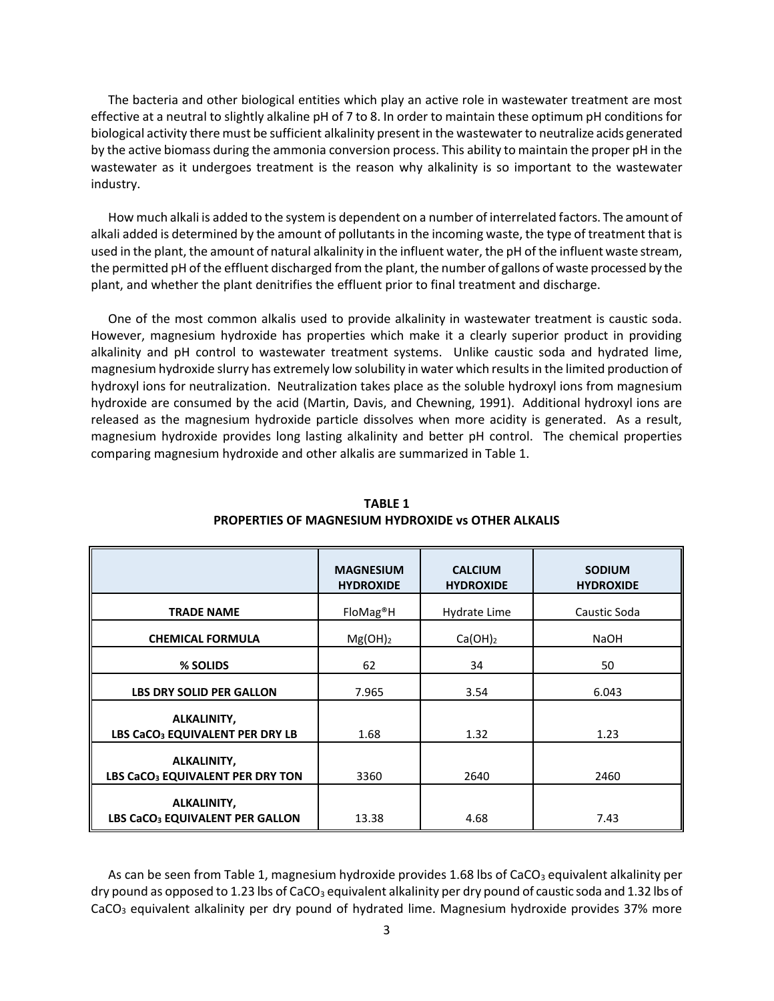The bacteria and other biological entities which play an active role in wastewater treatment are most effective at a neutral to slightly alkaline pH of 7 to 8. In order to maintain these optimum pH conditions for biological activity there must be sufficient alkalinity present in the wastewater to neutralize acids generated by the active biomass during the ammonia conversion process. This ability to maintain the proper pH in the wastewater as it undergoes treatment is the reason why alkalinity is so important to the wastewater industry.

How much alkali is added to the system is dependent on a number of interrelated factors. The amount of alkali added is determined by the amount of pollutants in the incoming waste, the type of treatment that is used in the plant, the amount of natural alkalinity in the influent water, the pH of the influent waste stream, the permitted pH of the effluent discharged from the plant, the number of gallons of waste processed by the plant, and whether the plant denitrifies the effluent prior to final treatment and discharge.

One of the most common alkalis used to provide alkalinity in wastewater treatment is caustic soda. However, magnesium hydroxide has properties which make it a clearly superior product in providing alkalinity and pH control to wastewater treatment systems. Unlike caustic soda and hydrated lime, magnesium hydroxide slurry has extremely low solubility in water which results in the limited production of hydroxyl ions for neutralization. Neutralization takes place as the soluble hydroxyl ions from magnesium hydroxide are consumed by the acid (Martin, Davis, and Chewning, 1991). Additional hydroxyl ions are released as the magnesium hydroxide particle dissolves when more acidity is generated. As a result, magnesium hydroxide provides long lasting alkalinity and better pH control. The chemical properties comparing magnesium hydroxide and other alkalis are summarized in Table 1.

|                                                             | <b>MAGNESIUM</b><br><b>HYDROXIDE</b> | <b>CALCIUM</b><br><b>HYDROXIDE</b> | <b>SODIUM</b><br><b>HYDROXIDE</b> |  |
|-------------------------------------------------------------|--------------------------------------|------------------------------------|-----------------------------------|--|
| <b>TRADE NAME</b>                                           | FloMag <sup>®</sup> H                | Hydrate Lime                       | Caustic Soda                      |  |
| <b>CHEMICAL FORMULA</b>                                     | $Mg(OH)_2$                           | $Ca(OH)_2$                         | <b>NaOH</b>                       |  |
| % SOLIDS                                                    | 62                                   | 34                                 | 50                                |  |
| <b>LBS DRY SOLID PER GALLON</b>                             | 7.965                                | 3.54                               | 6.043                             |  |
| ALKALINITY,<br>LBS CaCO <sub>3</sub> EQUIVALENT PER DRY LB  | 1.68                                 | 1.32                               | 1.23                              |  |
| ALKALINITY,<br>LBS CaCO <sub>3</sub> EQUIVALENT PER DRY TON | 3360                                 | 2640                               | 2460                              |  |
| ALKALINITY,<br>LBS CaCO <sub>3</sub> EQUIVALENT PER GALLON  | 13.38                                | 4.68                               | 7.43                              |  |

**TABLE 1 PROPERTIES OF MAGNESIUM HYDROXIDE vs OTHER ALKALIS**

As can be seen from Table 1, magnesium hydroxide provides 1.68 lbs of CaCO<sub>3</sub> equivalent alkalinity per dry pound as opposed to 1.23 lbs of CaCO<sub>3</sub> equivalent alkalinity per dry pound of caustic soda and 1.32 lbs of CaCO<sub>3</sub> equivalent alkalinity per dry pound of hydrated lime. Magnesium hydroxide provides 37% more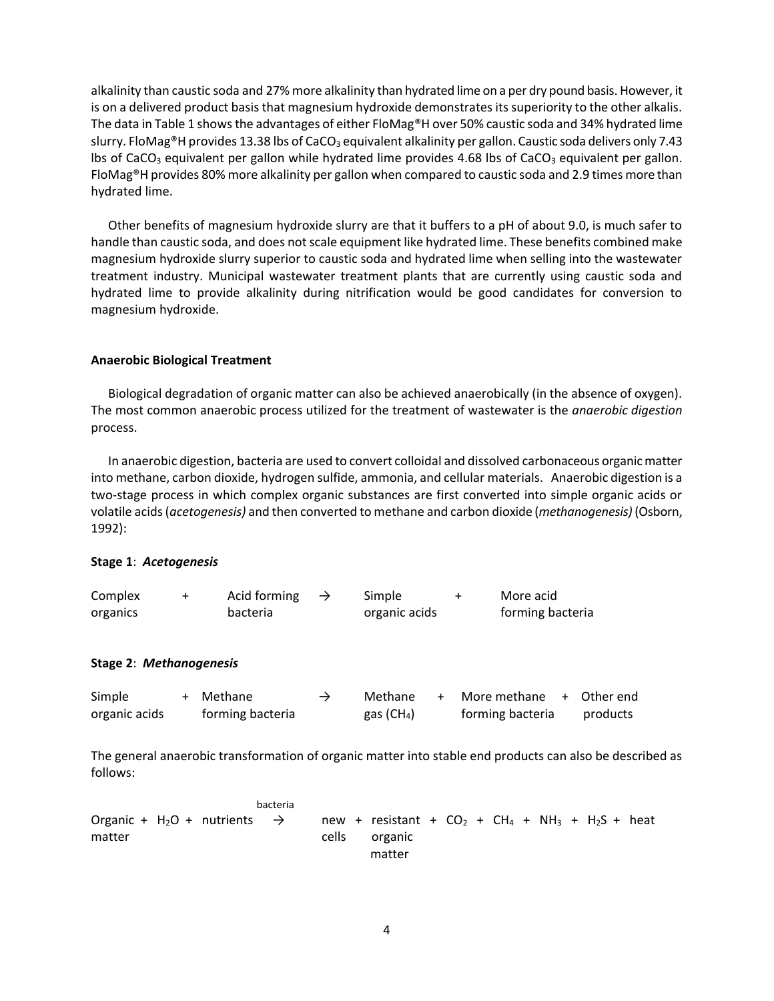alkalinity than caustic soda and 27% more alkalinity than hydrated lime on a per dry pound basis. However, it is on a delivered product basis that magnesium hydroxide demonstrates its superiority to the other alkalis. The data in Table 1 shows the advantages of either FloMag®H over 50% caustic soda and 34% hydrated lime slurry. FloMag<sup>®</sup>H provides 13.38 lbs of CaCO<sub>3</sub> equivalent alkalinity per gallon. Caustic soda delivers only 7.43 lbs of CaCO<sub>3</sub> equivalent per gallon while hydrated lime provides 4.68 lbs of CaCO<sub>3</sub> equivalent per gallon. FloMag®H provides 80% more alkalinity per gallon when compared to caustic soda and 2.9 times more than hydrated lime.

Other benefits of magnesium hydroxide slurry are that it buffers to a pH of about 9.0, is much safer to handle than caustic soda, and does not scale equipment like hydrated lime. These benefits combined make magnesium hydroxide slurry superior to caustic soda and hydrated lime when selling into the wastewater treatment industry. Municipal wastewater treatment plants that are currently using caustic soda and hydrated lime to provide alkalinity during nitrification would be good candidates for conversion to magnesium hydroxide.

# **Anaerobic Biological Treatment**

Biological degradation of organic matter can also be achieved anaerobically (in the absence of oxygen). The most common anaerobic process utilized for the treatment of wastewater is the *anaerobic digestion* process.

In anaerobic digestion, bacteria are used to convert colloidal and dissolved carbonaceous organic matter into methane, carbon dioxide, hydrogen sulfide, ammonia, and cellular materials. Anaerobic digestion is a two-stage process in which complex organic substances are first converted into simple organic acids or volatile acids (*acetogenesis)* and then converted to methane and carbon dioxide (*methanogenesis)* (Osborn, 1992):

# **Stage 1**: *Acetogenesis*

| Complex  | Acid forming | Simple        | More acid        |
|----------|--------------|---------------|------------------|
| organics | bacteria     | organic acids | forming bacteria |

# **Stage 2**: *Methanogenesis*

| Simple        | + Methane        | $\rightarrow$ | Methane                | + More methane   | + Other end |
|---------------|------------------|---------------|------------------------|------------------|-------------|
| organic acids | forming bacteria |               | gas (CH <sub>4</sub> ) | forming bacteria | products    |

The general anaerobic transformation of organic matter into stable end products can also be described as follows:

 bacteria Organic + H<sub>2</sub>O + nutrients  $\rightarrow$  new + resistant + CO<sub>2</sub> + CH<sub>4</sub> + NH<sub>3</sub> + H<sub>2</sub>S + heat matter and cells organic matter and the control of the control of the control of the control of the control of the control of the control of the control of the control of the control of the control of the control of the control of the control of t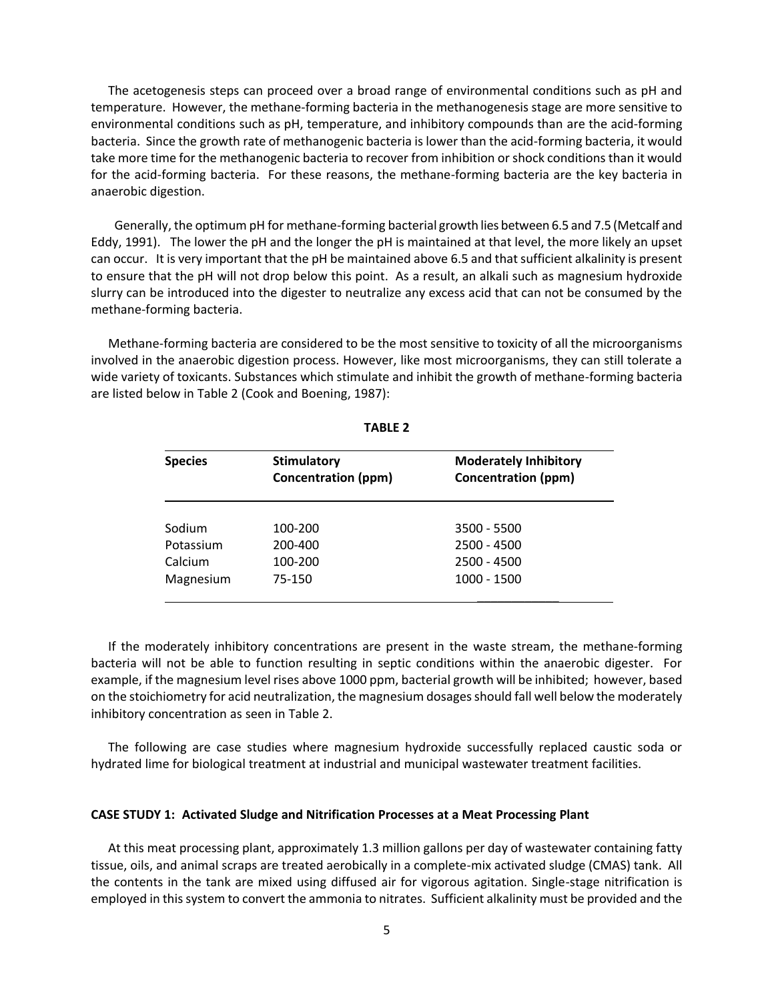The acetogenesis steps can proceed over a broad range of environmental conditions such as pH and temperature. However, the methane-forming bacteria in the methanogenesis stage are more sensitive to environmental conditions such as pH, temperature, and inhibitory compounds than are the acid-forming bacteria. Since the growth rate of methanogenic bacteria is lower than the acid-forming bacteria, it would take more time for the methanogenic bacteria to recover from inhibition or shock conditions than it would for the acid-forming bacteria. For these reasons, the methane-forming bacteria are the key bacteria in anaerobic digestion.

 Generally, the optimum pH for methane-forming bacterial growth lies between 6.5 and 7.5 (Metcalf and Eddy, 1991). The lower the pH and the longer the pH is maintained at that level, the more likely an upset can occur. It is very important that the pH be maintained above 6.5 and that sufficient alkalinity is present to ensure that the pH will not drop below this point. As a result, an alkali such as magnesium hydroxide slurry can be introduced into the digester to neutralize any excess acid that can not be consumed by the methane-forming bacteria.

Methane-forming bacteria are considered to be the most sensitive to toxicity of all the microorganisms involved in the anaerobic digestion process. However, like most microorganisms, they can still tolerate a wide variety of toxicants. Substances which stimulate and inhibit the growth of methane-forming bacteria are listed below in Table 2 (Cook and Boening, 1987):

| <b>Species</b> | <b>Stimulatory</b><br><b>Concentration (ppm)</b> | <b>Moderately Inhibitory</b><br><b>Concentration (ppm)</b> |  |  |
|----------------|--------------------------------------------------|------------------------------------------------------------|--|--|
| Sodium         | 100-200                                          | 3500 - 5500                                                |  |  |
| Potassium      | 200-400                                          | $2500 - 4500$                                              |  |  |
| Calcium        | 100-200                                          | $2500 - 4500$                                              |  |  |
| Magnesium      | 75-150                                           | 1000 - 1500                                                |  |  |

**TABLE 2**

If the moderately inhibitory concentrations are present in the waste stream, the methane-forming bacteria will not be able to function resulting in septic conditions within the anaerobic digester. For example, if the magnesium level rises above 1000 ppm, bacterial growth will be inhibited; however, based on the stoichiometry for acid neutralization, the magnesium dosages should fall well below the moderately inhibitory concentration as seen in Table 2.

The following are case studies where magnesium hydroxide successfully replaced caustic soda or hydrated lime for biological treatment at industrial and municipal wastewater treatment facilities.

#### **CASE STUDY 1: Activated Sludge and Nitrification Processes at a Meat Processing Plant**

At this meat processing plant, approximately 1.3 million gallons per day of wastewater containing fatty tissue, oils, and animal scraps are treated aerobically in a complete-mix activated sludge (CMAS) tank. All the contents in the tank are mixed using diffused air for vigorous agitation. Single-stage nitrification is employed in this system to convert the ammonia to nitrates. Sufficient alkalinity must be provided and the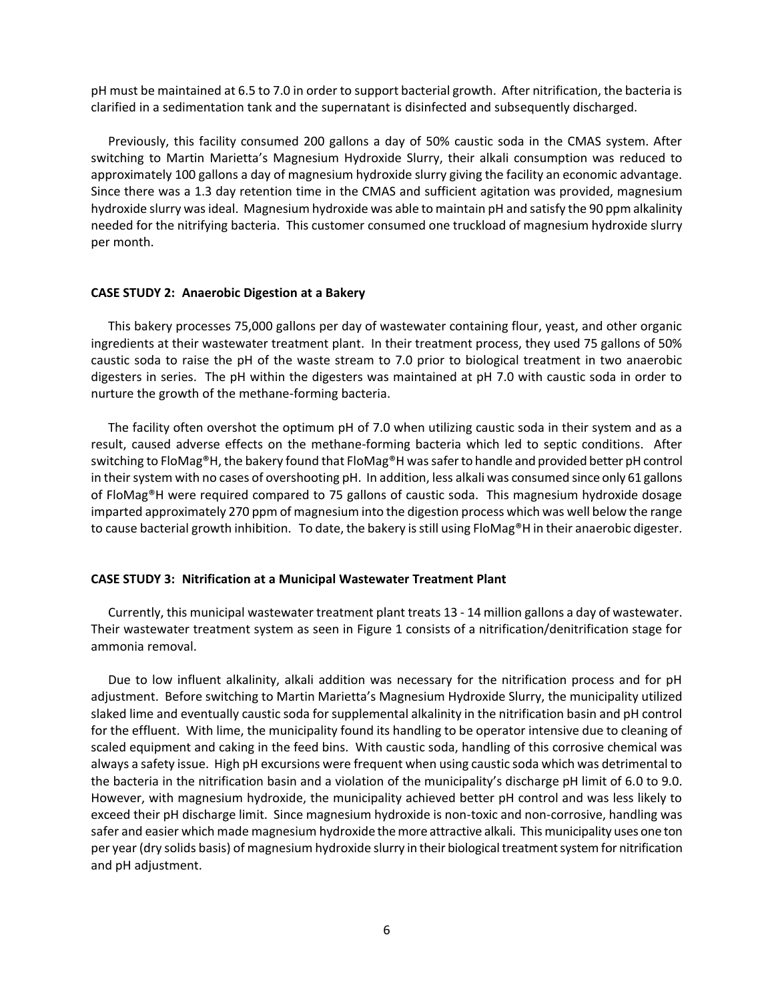pH must be maintained at 6.5 to 7.0 in order to support bacterial growth. After nitrification, the bacteria is clarified in a sedimentation tank and the supernatant is disinfected and subsequently discharged.

Previously, this facility consumed 200 gallons a day of 50% caustic soda in the CMAS system. After switching to Martin Marietta's Magnesium Hydroxide Slurry, their alkali consumption was reduced to approximately 100 gallons a day of magnesium hydroxide slurry giving the facility an economic advantage. Since there was a 1.3 day retention time in the CMAS and sufficient agitation was provided, magnesium hydroxide slurry was ideal. Magnesium hydroxide was able to maintain pH and satisfy the 90 ppm alkalinity needed for the nitrifying bacteria. This customer consumed one truckload of magnesium hydroxide slurry per month.

#### **CASE STUDY 2: Anaerobic Digestion at a Bakery**

This bakery processes 75,000 gallons per day of wastewater containing flour, yeast, and other organic ingredients at their wastewater treatment plant. In their treatment process, they used 75 gallons of 50% caustic soda to raise the pH of the waste stream to 7.0 prior to biological treatment in two anaerobic digesters in series. The pH within the digesters was maintained at pH 7.0 with caustic soda in order to nurture the growth of the methane-forming bacteria.

The facility often overshot the optimum pH of 7.0 when utilizing caustic soda in their system and as a result, caused adverse effects on the methane-forming bacteria which led to septic conditions. After switching to FloMag®H, the bakery found that FloMag®H was safer to handle and provided better pH control in their system with no cases of overshooting pH. In addition, less alkali was consumed since only 61 gallons of FloMag®H were required compared to 75 gallons of caustic soda. This magnesium hydroxide dosage imparted approximately 270 ppm of magnesium into the digestion process which was well below the range to cause bacterial growth inhibition. To date, the bakery is still using FloMag®H in their anaerobic digester.

#### **CASE STUDY 3: Nitrification at a Municipal Wastewater Treatment Plant**

Currently, this municipal wastewater treatment plant treats 13 - 14 million gallons a day of wastewater. Their wastewater treatment system as seen in Figure 1 consists of a nitrification/denitrification stage for ammonia removal.

Due to low influent alkalinity, alkali addition was necessary for the nitrification process and for pH adjustment. Before switching to Martin Marietta's Magnesium Hydroxide Slurry, the municipality utilized slaked lime and eventually caustic soda for supplemental alkalinity in the nitrification basin and pH control for the effluent. With lime, the municipality found its handling to be operator intensive due to cleaning of scaled equipment and caking in the feed bins. With caustic soda, handling of this corrosive chemical was always a safety issue. High pH excursions were frequent when using caustic soda which was detrimental to the bacteria in the nitrification basin and a violation of the municipality's discharge pH limit of 6.0 to 9.0. However, with magnesium hydroxide, the municipality achieved better pH control and was less likely to exceed their pH discharge limit. Since magnesium hydroxide is non-toxic and non-corrosive, handling was safer and easier which made magnesium hydroxide the more attractive alkali. This municipality uses one ton per year (dry solids basis) of magnesium hydroxide slurry in their biological treatment system for nitrification and pH adjustment.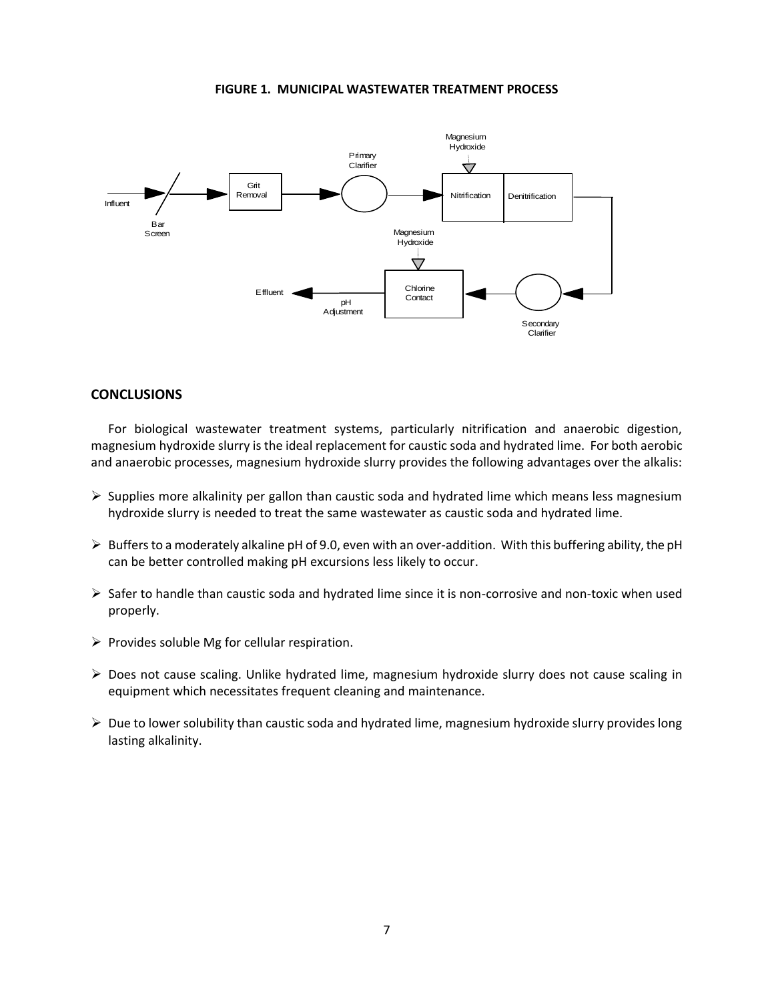#### **FIGURE 1. MUNICIPAL WASTEWATER TREATMENT PROCESS**



#### **CONCLUSIONS**

For biological wastewater treatment systems, particularly nitrification and anaerobic digestion, magnesium hydroxide slurry is the ideal replacement for caustic soda and hydrated lime. For both aerobic and anaerobic processes, magnesium hydroxide slurry provides the following advantages over the alkalis:

- $\triangleright$  Supplies more alkalinity per gallon than caustic soda and hydrated lime which means less magnesium hydroxide slurry is needed to treat the same wastewater as caustic soda and hydrated lime.
- $\triangleright$  Buffers to a moderately alkaline pH of 9.0, even with an over-addition. With this buffering ability, the pH can be better controlled making pH excursions less likely to occur.
- $\triangleright$  Safer to handle than caustic soda and hydrated lime since it is non-corrosive and non-toxic when used properly.
- $\triangleright$  Provides soluble Mg for cellular respiration.
- $\triangleright$  Does not cause scaling. Unlike hydrated lime, magnesium hydroxide slurry does not cause scaling in equipment which necessitates frequent cleaning and maintenance.
- $\triangleright$  Due to lower solubility than caustic soda and hydrated lime, magnesium hydroxide slurry provides long lasting alkalinity.